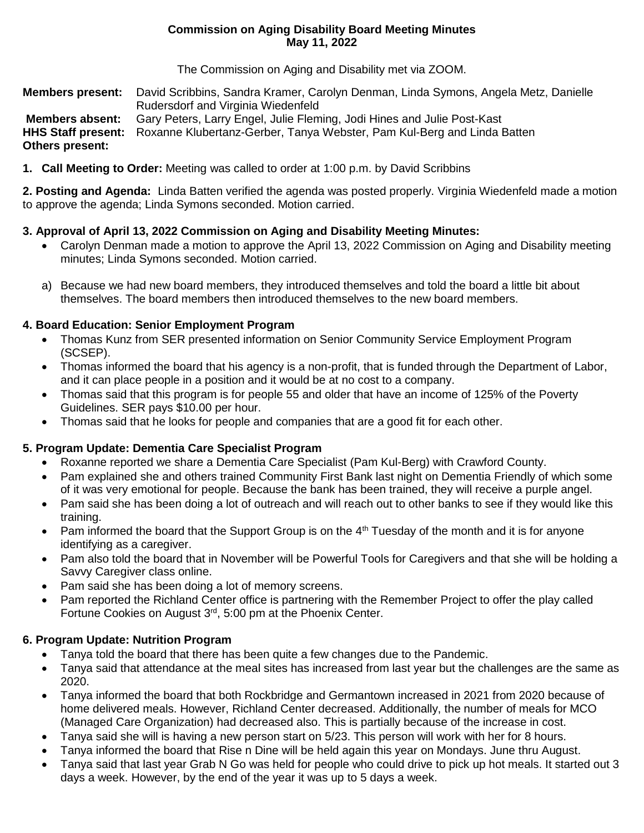## **Commission on Aging Disability Board Meeting Minutes May 11, 2022**

The Commission on Aging and Disability met via ZOOM.

**Members present:** David Scribbins, Sandra Kramer, Carolyn Denman, Linda Symons, Angela Metz, Danielle Rudersdorf and Virginia Wiedenfeld **Members absent:** Gary Peters, Larry Engel, Julie Fleming, Jodi Hines and Julie Post-Kast **HHS Staff present:** Roxanne Klubertanz-Gerber, Tanya Webster, Pam Kul-Berg and Linda Batten **Others present:**

**1. Call Meeting to Order:** Meeting was called to order at 1:00 p.m. by David Scribbins

**2. Posting and Agenda:** Linda Batten verified the agenda was posted properly. Virginia Wiedenfeld made a motion to approve the agenda; Linda Symons seconded. Motion carried.

# **3. Approval of April 13, 2022 Commission on Aging and Disability Meeting Minutes:**

- Carolyn Denman made a motion to approve the April 13, 2022 Commission on Aging and Disability meeting minutes; Linda Symons seconded. Motion carried.
- a) Because we had new board members, they introduced themselves and told the board a little bit about themselves. The board members then introduced themselves to the new board members.

# **4. Board Education: Senior Employment Program**

- Thomas Kunz from SER presented information on Senior Community Service Employment Program (SCSEP).
- Thomas informed the board that his agency is a non-profit, that is funded through the Department of Labor, and it can place people in a position and it would be at no cost to a company.
- Thomas said that this program is for people 55 and older that have an income of 125% of the Poverty Guidelines. SER pays \$10.00 per hour.
- Thomas said that he looks for people and companies that are a good fit for each other.

# **5. Program Update: Dementia Care Specialist Program**

- Roxanne reported we share a Dementia Care Specialist (Pam Kul-Berg) with Crawford County.
- Pam explained she and others trained Community First Bank last night on Dementia Friendly of which some of it was very emotional for people. Because the bank has been trained, they will receive a purple angel.
- Pam said she has been doing a lot of outreach and will reach out to other banks to see if they would like this training.
- Pam informed the board that the Support Group is on the  $4<sup>th</sup>$  Tuesday of the month and it is for anyone identifying as a caregiver.
- Pam also told the board that in November will be Powerful Tools for Caregivers and that she will be holding a Savvy Caregiver class online.
- Pam said she has been doing a lot of memory screens.
- Pam reported the Richland Center office is partnering with the Remember Project to offer the play called Fortune Cookies on August 3rd, 5:00 pm at the Phoenix Center.

# **6. Program Update: Nutrition Program**

- Tanya told the board that there has been quite a few changes due to the Pandemic.
- Tanya said that attendance at the meal sites has increased from last year but the challenges are the same as 2020.
- Tanya informed the board that both Rockbridge and Germantown increased in 2021 from 2020 because of home delivered meals. However, Richland Center decreased. Additionally, the number of meals for MCO (Managed Care Organization) had decreased also. This is partially because of the increase in cost.
- Tanya said she will is having a new person start on 5/23. This person will work with her for 8 hours.
- Tanya informed the board that Rise n Dine will be held again this year on Mondays. June thru August.
- Tanya said that last year Grab N Go was held for people who could drive to pick up hot meals. It started out 3 days a week. However, by the end of the year it was up to 5 days a week.